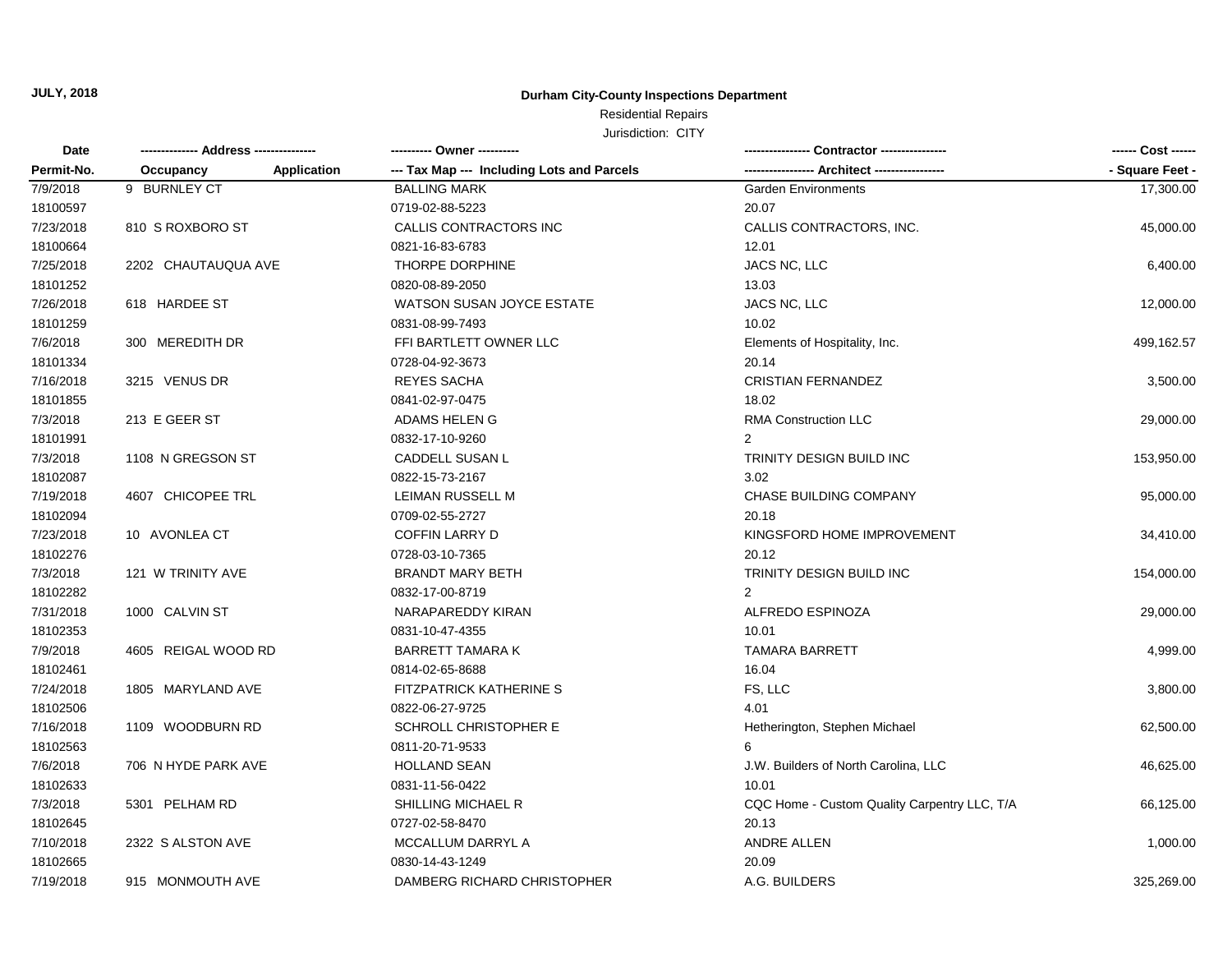## Residential Repairs

| Date<br>Permit-No. |                     |                    | ---------- Owner ----------                |                                              | ------ Cost ------ |
|--------------------|---------------------|--------------------|--------------------------------------------|----------------------------------------------|--------------------|
|                    | Occupancy           | <b>Application</b> | --- Tax Map --- Including Lots and Parcels | -- Architect ----                            | - Square Feet -    |
| 7/9/2018           | 9 BURNLEY CT        |                    | <b>BALLING MARK</b>                        | <b>Garden Environments</b>                   | 17,300.00          |
| 18100597           |                     |                    | 0719-02-88-5223                            | 20.07                                        |                    |
| 7/23/2018          | 810 S ROXBORO ST    |                    | CALLIS CONTRACTORS INC                     | CALLIS CONTRACTORS, INC.                     | 45,000.00          |
| 18100664           |                     |                    | 0821-16-83-6783                            | 12.01                                        |                    |
| 7/25/2018          | 2202 CHAUTAUQUA AVE |                    | THORPE DORPHINE                            | JACS NC, LLC                                 | 6,400.00           |
| 18101252           |                     |                    | 0820-08-89-2050                            | 13.03                                        |                    |
| 7/26/2018          | 618 HARDEE ST       |                    | <b>WATSON SUSAN JOYCE ESTATE</b>           | JACS NC, LLC                                 | 12,000.00          |
| 18101259           |                     |                    | 0831-08-99-7493                            | 10.02                                        |                    |
| 7/6/2018           | 300 MEREDITH DR     |                    | FFI BARTLETT OWNER LLC                     | Elements of Hospitality, Inc.                | 499,162.57         |
| 18101334           |                     |                    | 0728-04-92-3673                            | 20.14                                        |                    |
| 7/16/2018          | 3215 VENUS DR       |                    | <b>REYES SACHA</b>                         | <b>CRISTIAN FERNANDEZ</b>                    | 3,500.00           |
| 18101855           |                     |                    | 0841-02-97-0475                            | 18.02                                        |                    |
| 7/3/2018           | 213 E GEER ST       |                    | ADAMS HELEN G                              | <b>RMA Construction LLC</b>                  | 29,000.00          |
| 18101991           |                     |                    | 0832-17-10-9260                            |                                              |                    |
| 7/3/2018           | 1108 N GREGSON ST   |                    | CADDELL SUSAN L                            | TRINITY DESIGN BUILD INC                     | 153,950.00         |
| 18102087           |                     |                    | 0822-15-73-2167                            | 3.02                                         |                    |
| 7/19/2018          | 4607 CHICOPEE TRL   |                    | LEIMAN RUSSELL M                           | <b>CHASE BUILDING COMPANY</b>                | 95,000.00          |
| 18102094           |                     |                    | 0709-02-55-2727                            | 20.18                                        |                    |
| 7/23/2018          | 10 AVONLEA CT       |                    | <b>COFFIN LARRY D</b>                      | KINGSFORD HOME IMPROVEMENT                   | 34,410.00          |
| 18102276           |                     |                    | 0728-03-10-7365                            | 20.12                                        |                    |
| 7/3/2018           | 121 W TRINITY AVE   |                    | <b>BRANDT MARY BETH</b>                    | TRINITY DESIGN BUILD INC                     | 154,000.00         |
| 18102282           |                     |                    | 0832-17-00-8719                            | $\overline{2}$                               |                    |
| 7/31/2018          | 1000 CALVIN ST      |                    | NARAPAREDDY KIRAN                          | ALFREDO ESPINOZA                             | 29,000.00          |
| 18102353           |                     |                    | 0831-10-47-4355                            | 10.01                                        |                    |
| 7/9/2018           | 4605 REIGAL WOOD RD |                    | <b>BARRETT TAMARA K</b>                    | <b>TAMARA BARRETT</b>                        | 4,999.00           |
| 18102461           |                     |                    | 0814-02-65-8688                            | 16.04                                        |                    |
| 7/24/2018          | 1805 MARYLAND AVE   |                    | FITZPATRICK KATHERINE S                    | FS, LLC                                      | 3,800.00           |
| 18102506           |                     |                    | 0822-06-27-9725                            | 4.01                                         |                    |
| 7/16/2018          | 1109 WOODBURN RD    |                    | SCHROLL CHRISTOPHER E                      | Hetherington, Stephen Michael                | 62,500.00          |
| 18102563           |                     |                    | 0811-20-71-9533                            | 6                                            |                    |
| 7/6/2018           | 706 N HYDE PARK AVE |                    | <b>HOLLAND SEAN</b>                        | J.W. Builders of North Carolina, LLC         | 46,625.00          |
| 18102633           |                     |                    | 0831-11-56-0422                            | 10.01                                        |                    |
| 7/3/2018           | 5301 PELHAM RD      |                    | <b>SHILLING MICHAEL R</b>                  | CQC Home - Custom Quality Carpentry LLC, T/A | 66,125.00          |
| 18102645           |                     |                    | 0727-02-58-8470                            | 20.13                                        |                    |
| 7/10/2018          | 2322 S ALSTON AVE   |                    | MCCALLUM DARRYL A                          | <b>ANDRE ALLEN</b>                           | 1,000.00           |
| 18102665           |                     |                    | 0830-14-43-1249                            | 20.09                                        |                    |
| 7/19/2018          | 915 MONMOUTH AVE    |                    | DAMBERG RICHARD CHRISTOPHER                | A.G. BUILDERS                                | 325,269.00         |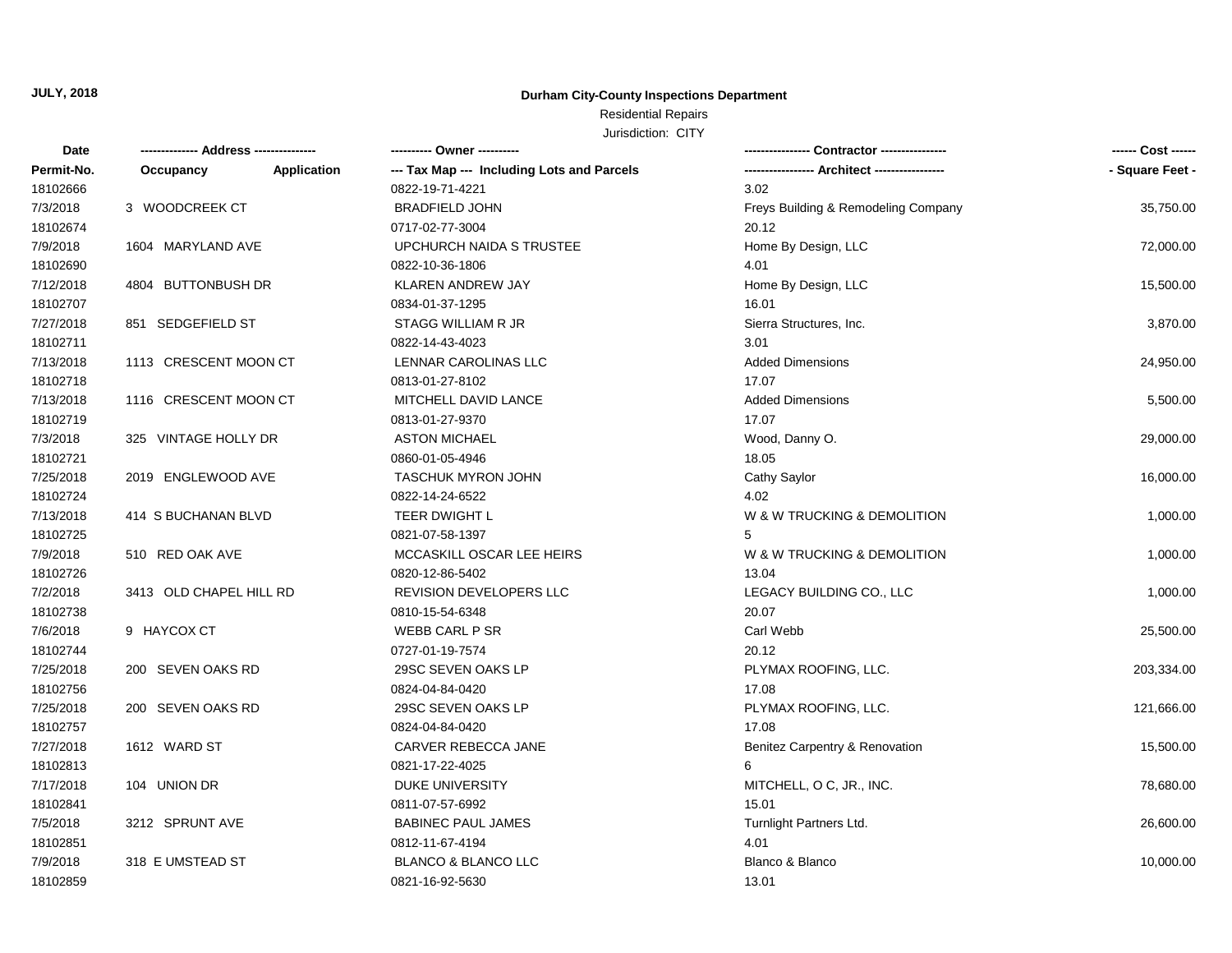# Residential Repairs

| Jurisdiction: CITY |  |
|--------------------|--|

| Date       | -------------- Address --------------- |             | ---------- Owner ----------                |                                     | ------ Cost ------ |
|------------|----------------------------------------|-------------|--------------------------------------------|-------------------------------------|--------------------|
| Permit-No. | Occupancy                              | Application | --- Tax Map --- Including Lots and Parcels |                                     | - Square Feet -    |
| 18102666   |                                        |             | 0822-19-71-4221                            | 3.02                                |                    |
| 7/3/2018   | 3 WOODCREEK CT                         |             | <b>BRADFIELD JOHN</b>                      | Freys Building & Remodeling Company | 35,750.00          |
| 18102674   |                                        |             | 0717-02-77-3004                            | 20.12                               |                    |
| 7/9/2018   | 1604 MARYLAND AVE                      |             | UPCHURCH NAIDA S TRUSTEE                   | Home By Design, LLC                 | 72,000.00          |
| 18102690   |                                        |             | 0822-10-36-1806                            | 4.01                                |                    |
| 7/12/2018  | 4804 BUTTONBUSH DR                     |             | <b>KLAREN ANDREW JAY</b>                   | Home By Design, LLC                 | 15,500.00          |
| 18102707   |                                        |             | 0834-01-37-1295                            | 16.01                               |                    |
| 7/27/2018  | 851 SEDGEFIELD ST                      |             | STAGG WILLIAM R JR                         | Sierra Structures, Inc.             | 3,870.00           |
| 18102711   |                                        |             | 0822-14-43-4023                            | 3.01                                |                    |
| 7/13/2018  | 1113 CRESCENT MOON CT                  |             | LENNAR CAROLINAS LLC                       | <b>Added Dimensions</b>             | 24,950.00          |
| 18102718   |                                        |             | 0813-01-27-8102                            | 17.07                               |                    |
| 7/13/2018  | 1116 CRESCENT MOON CT                  |             | MITCHELL DAVID LANCE                       | <b>Added Dimensions</b>             | 5,500.00           |
| 18102719   |                                        |             | 0813-01-27-9370                            | 17.07                               |                    |
| 7/3/2018   | 325 VINTAGE HOLLY DR                   |             | <b>ASTON MICHAEL</b>                       | Wood, Danny O.                      | 29,000.00          |
| 18102721   |                                        |             | 0860-01-05-4946                            | 18.05                               |                    |
| 7/25/2018  | 2019 ENGLEWOOD AVE                     |             | <b>TASCHUK MYRON JOHN</b>                  | Cathy Saylor                        | 16,000.00          |
| 18102724   |                                        |             | 0822-14-24-6522                            | 4.02                                |                    |
| 7/13/2018  | 414 S BUCHANAN BLVD                    |             | <b>TEER DWIGHT L</b>                       | W & W TRUCKING & DEMOLITION         | 1,000.00           |
| 18102725   |                                        |             | 0821-07-58-1397                            |                                     |                    |
| 7/9/2018   | 510 RED OAK AVE                        |             | MCCASKILL OSCAR LEE HEIRS                  | W & W TRUCKING & DEMOLITION         | 1,000.00           |
| 18102726   |                                        |             | 0820-12-86-5402                            | 13.04                               |                    |
| 7/2/2018   | 3413 OLD CHAPEL HILL RD                |             | REVISION DEVELOPERS LLC                    | LEGACY BUILDING CO., LLC            | 1,000.00           |
| 18102738   |                                        |             | 0810-15-54-6348                            | 20.07                               |                    |
| 7/6/2018   | 9 HAYCOX CT                            |             | WEBB CARL P SR                             | Carl Webb                           | 25,500.00          |
| 18102744   |                                        |             | 0727-01-19-7574                            | 20.12                               |                    |
| 7/25/2018  | 200 SEVEN OAKS RD                      |             | 29SC SEVEN OAKS LP                         | PLYMAX ROOFING, LLC.                | 203,334.00         |
| 18102756   |                                        |             | 0824-04-84-0420                            | 17.08                               |                    |
| 7/25/2018  | 200 SEVEN OAKS RD                      |             | 29SC SEVEN OAKS LP                         | PLYMAX ROOFING, LLC.                | 121,666.00         |
| 18102757   |                                        |             | 0824-04-84-0420                            | 17.08                               |                    |
| 7/27/2018  | 1612 WARD ST                           |             | CARVER REBECCA JANE                        | Benitez Carpentry & Renovation      | 15,500.00          |
| 18102813   |                                        |             | 0821-17-22-4025                            | 6                                   |                    |
| 7/17/2018  | 104 UNION DR                           |             | DUKE UNIVERSITY                            | MITCHELL, O C, JR., INC.            | 78,680.00          |
| 18102841   |                                        |             | 0811-07-57-6992                            | 15.01                               |                    |
| 7/5/2018   | 3212 SPRUNT AVE                        |             | <b>BABINEC PAUL JAMES</b>                  | Turnlight Partners Ltd.             | 26,600.00          |
| 18102851   |                                        |             | 0812-11-67-4194                            | 4.01                                |                    |
| 7/9/2018   | 318 E UMSTEAD ST                       |             | <b>BLANCO &amp; BLANCO LLC</b>             | Blanco & Blanco                     | 10,000.00          |
| 18102859   |                                        |             | 0821-16-92-5630                            | 13.01                               |                    |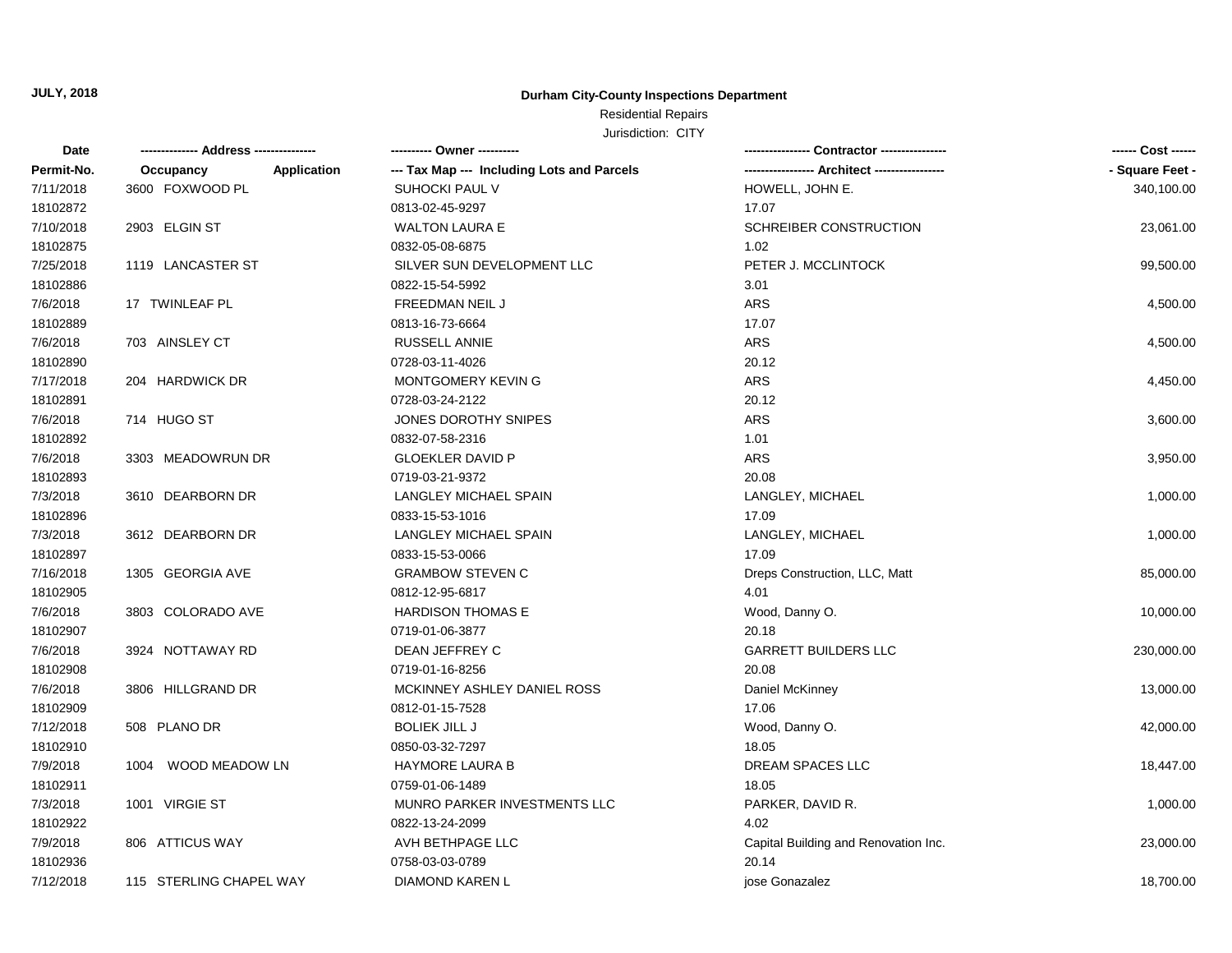## Residential Repairs

| Date       |                          | ---------- Owner ----------                |                                      | ------ Cost ------ |
|------------|--------------------------|--------------------------------------------|--------------------------------------|--------------------|
| Permit-No. | Application<br>Occupancy | --- Tax Map --- Including Lots and Parcels |                                      | - Square Feet -    |
| 7/11/2018  | 3600 FOXWOOD PL          | <b>SUHOCKI PAUL V</b>                      | HOWELL, JOHN E.                      | 340,100.00         |
| 18102872   |                          | 0813-02-45-9297                            | 17.07                                |                    |
| 7/10/2018  | 2903 ELGIN ST            | <b>WALTON LAURA E</b>                      | SCHREIBER CONSTRUCTION               | 23,061.00          |
| 18102875   |                          | 0832-05-08-6875                            | 1.02                                 |                    |
| 7/25/2018  | 1119 LANCASTER ST        | SILVER SUN DEVELOPMENT LLC                 | PETER J. MCCLINTOCK                  | 99,500.00          |
| 18102886   |                          | 0822-15-54-5992                            | 3.01                                 |                    |
| 7/6/2018   | 17 TWINLEAF PL           | <b>FREEDMAN NEIL J</b>                     | <b>ARS</b>                           | 4,500.00           |
| 18102889   |                          | 0813-16-73-6664                            | 17.07                                |                    |
| 7/6/2018   | 703 AINSLEY CT           | <b>RUSSELL ANNIE</b>                       | <b>ARS</b>                           | 4,500.00           |
| 18102890   |                          | 0728-03-11-4026                            | 20.12                                |                    |
| 7/17/2018  | 204 HARDWICK DR          | MONTGOMERY KEVIN G                         | ARS                                  | 4,450.00           |
| 18102891   |                          | 0728-03-24-2122                            | 20.12                                |                    |
| 7/6/2018   | 714 HUGO ST              | <b>JONES DOROTHY SNIPES</b>                | ARS                                  | 3,600.00           |
| 18102892   |                          | 0832-07-58-2316                            | 1.01                                 |                    |
| 7/6/2018   | 3303 MEADOWRUN DR        | <b>GLOEKLER DAVID P</b>                    | <b>ARS</b>                           | 3,950.00           |
| 18102893   |                          | 0719-03-21-9372                            | 20.08                                |                    |
| 7/3/2018   | 3610 DEARBORN DR         | LANGLEY MICHAEL SPAIN                      | LANGLEY, MICHAEL                     | 1,000.00           |
| 18102896   |                          | 0833-15-53-1016                            | 17.09                                |                    |
| 7/3/2018   | 3612 DEARBORN DR         | LANGLEY MICHAEL SPAIN                      | LANGLEY, MICHAEL                     | 1,000.00           |
| 18102897   |                          | 0833-15-53-0066                            | 17.09                                |                    |
| 7/16/2018  | 1305 GEORGIA AVE         | <b>GRAMBOW STEVEN C</b>                    | Dreps Construction, LLC, Matt        | 85,000.00          |
| 18102905   |                          | 0812-12-95-6817                            | 4.01                                 |                    |
| 7/6/2018   | 3803 COLORADO AVE        | <b>HARDISON THOMAS E</b>                   | Wood, Danny O.                       | 10,000.00          |
| 18102907   |                          | 0719-01-06-3877                            | 20.18                                |                    |
| 7/6/2018   | 3924 NOTTAWAY RD         | DEAN JEFFREY C                             | <b>GARRETT BUILDERS LLC</b>          | 230,000.00         |
| 18102908   |                          | 0719-01-16-8256                            | 20.08                                |                    |
| 7/6/2018   | 3806 HILLGRAND DR        | MCKINNEY ASHLEY DANIEL ROSS                | Daniel McKinney                      | 13,000.00          |
| 18102909   |                          | 0812-01-15-7528                            | 17.06                                |                    |
| 7/12/2018  | 508 PLANO DR             | <b>BOLIEK JILL J</b>                       | Wood, Danny O.                       | 42,000.00          |
| 18102910   |                          | 0850-03-32-7297                            | 18.05                                |                    |
| 7/9/2018   | 1004 WOOD MEADOW LN      | HAYMORE LAURA B                            | DREAM SPACES LLC                     | 18,447.00          |
| 18102911   |                          | 0759-01-06-1489                            | 18.05                                |                    |
| 7/3/2018   | 1001 VIRGIE ST           | MUNRO PARKER INVESTMENTS LLC               | PARKER, DAVID R.                     | 1,000.00           |
| 18102922   |                          | 0822-13-24-2099                            | 4.02                                 |                    |
| 7/9/2018   | 806 ATTICUS WAY          | AVH BETHPAGE LLC                           | Capital Building and Renovation Inc. | 23,000.00          |
| 18102936   |                          | 0758-03-03-0789                            | 20.14                                |                    |
| 7/12/2018  | 115 STERLING CHAPEL WAY  | DIAMOND KAREN L                            | jose Gonazalez                       | 18,700.00          |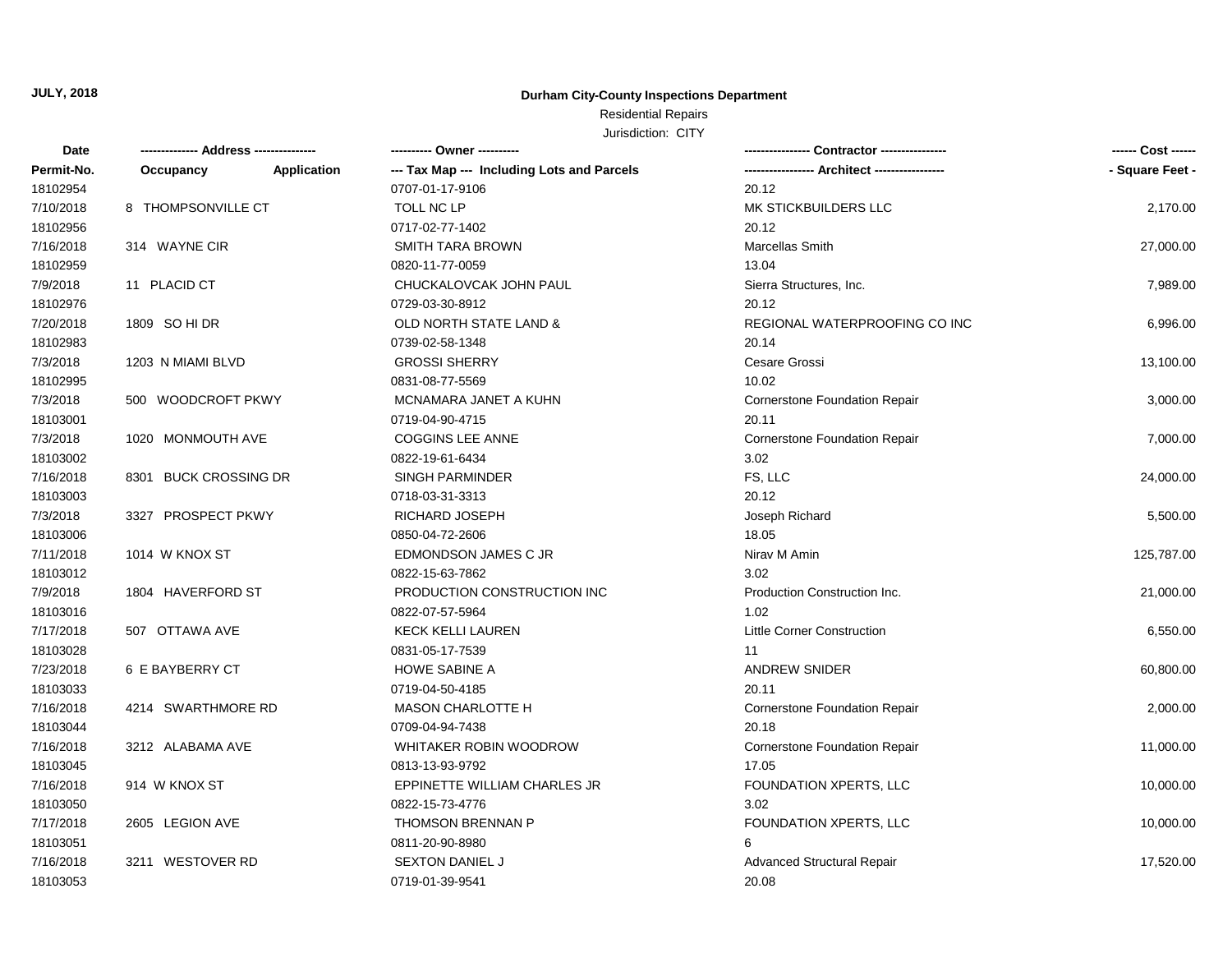# Residential Repairs

| Date       |                       |             |                                            |                                      | ------ Cost ------ |
|------------|-----------------------|-------------|--------------------------------------------|--------------------------------------|--------------------|
| Permit-No. | Occupancy             | Application | --- Tax Map --- Including Lots and Parcels |                                      | - Square Feet -    |
| 18102954   |                       |             | 0707-01-17-9106                            | 20.12                                |                    |
| 7/10/2018  | 8 THOMPSONVILLE CT    |             | TOLL NC LP                                 | MK STICKBUILDERS LLC                 | 2,170.00           |
| 18102956   |                       |             | 0717-02-77-1402                            | 20.12                                |                    |
| 7/16/2018  | 314 WAYNE CIR         |             | <b>SMITH TARA BROWN</b>                    | Marcellas Smith                      | 27,000.00          |
| 18102959   |                       |             | 0820-11-77-0059                            | 13.04                                |                    |
| 7/9/2018   | 11 PLACID CT          |             | CHUCKALOVCAK JOHN PAUL                     | Sierra Structures, Inc.              | 7,989.00           |
| 18102976   |                       |             | 0729-03-30-8912                            | 20.12                                |                    |
| 7/20/2018  | 1809 SO HI DR         |             | <b>OLD NORTH STATE LAND &amp;</b>          | REGIONAL WATERPROOFING CO INC        | 6,996.00           |
| 18102983   |                       |             | 0739-02-58-1348                            | 20.14                                |                    |
| 7/3/2018   | 1203 N MIAMI BLVD     |             | <b>GROSSI SHERRY</b>                       | Cesare Grossi                        | 13,100.00          |
| 18102995   |                       |             | 0831-08-77-5569                            | 10.02                                |                    |
| 7/3/2018   | 500 WOODCROFT PKWY    |             | MCNAMARA JANET A KUHN                      | <b>Cornerstone Foundation Repair</b> | 3,000.00           |
| 18103001   |                       |             | 0719-04-90-4715                            | 20.11                                |                    |
| 7/3/2018   | 1020 MONMOUTH AVE     |             | <b>COGGINS LEE ANNE</b>                    | <b>Cornerstone Foundation Repair</b> | 7,000.00           |
| 18103002   |                       |             | 0822-19-61-6434                            | 3.02                                 |                    |
| 7/16/2018  | 8301 BUCK CROSSING DR |             | <b>SINGH PARMINDER</b>                     | FS, LLC                              | 24,000.00          |
| 18103003   |                       |             | 0718-03-31-3313                            | 20.12                                |                    |
| 7/3/2018   | 3327 PROSPECT PKWY    |             | RICHARD JOSEPH                             | Joseph Richard                       | 5,500.00           |
| 18103006   |                       |             | 0850-04-72-2606                            | 18.05                                |                    |
| 7/11/2018  | 1014 W KNOX ST        |             | EDMONDSON JAMES C JR                       | Nirav M Amin                         | 125,787.00         |
| 18103012   |                       |             | 0822-15-63-7862                            | 3.02                                 |                    |
| 7/9/2018   | 1804 HAVERFORD ST     |             | PRODUCTION CONSTRUCTION INC                | Production Construction Inc.         | 21,000.00          |
| 18103016   |                       |             | 0822-07-57-5964                            | 1.02                                 |                    |
| 7/17/2018  | 507 OTTAWA AVE        |             | <b>KECK KELLI LAUREN</b>                   | Little Corner Construction           | 6,550.00           |
| 18103028   |                       |             | 0831-05-17-7539                            | 11                                   |                    |
| 7/23/2018  | 6 E BAYBERRY CT       |             | <b>HOWE SABINE A</b>                       | <b>ANDREW SNIDER</b>                 | 60,800.00          |
| 18103033   |                       |             | 0719-04-50-4185                            | 20.11                                |                    |
| 7/16/2018  | 4214 SWARTHMORE RD    |             | <b>MASON CHARLOTTE H</b>                   | Cornerstone Foundation Repair        | 2,000.00           |
| 18103044   |                       |             | 0709-04-94-7438                            | 20.18                                |                    |
| 7/16/2018  | 3212 ALABAMA AVE      |             | WHITAKER ROBIN WOODROW                     | Cornerstone Foundation Repair        | 11,000.00          |
| 18103045   |                       |             | 0813-13-93-9792                            | 17.05                                |                    |
| 7/16/2018  | 914 W KNOX ST         |             | EPPINETTE WILLIAM CHARLES JR               | FOUNDATION XPERTS, LLC               | 10,000.00          |
| 18103050   |                       |             | 0822-15-73-4776                            | 3.02                                 |                    |
| 7/17/2018  | 2605 LEGION AVE       |             | THOMSON BRENNAN P                          | FOUNDATION XPERTS, LLC               | 10,000.00          |
| 18103051   |                       |             | 0811-20-90-8980                            | 6                                    |                    |
| 7/16/2018  | 3211 WESTOVER RD      |             | <b>SEXTON DANIEL J</b>                     | <b>Advanced Structural Repair</b>    | 17,520.00          |
| 18103053   |                       |             | 0719-01-39-9541                            | 20.08                                |                    |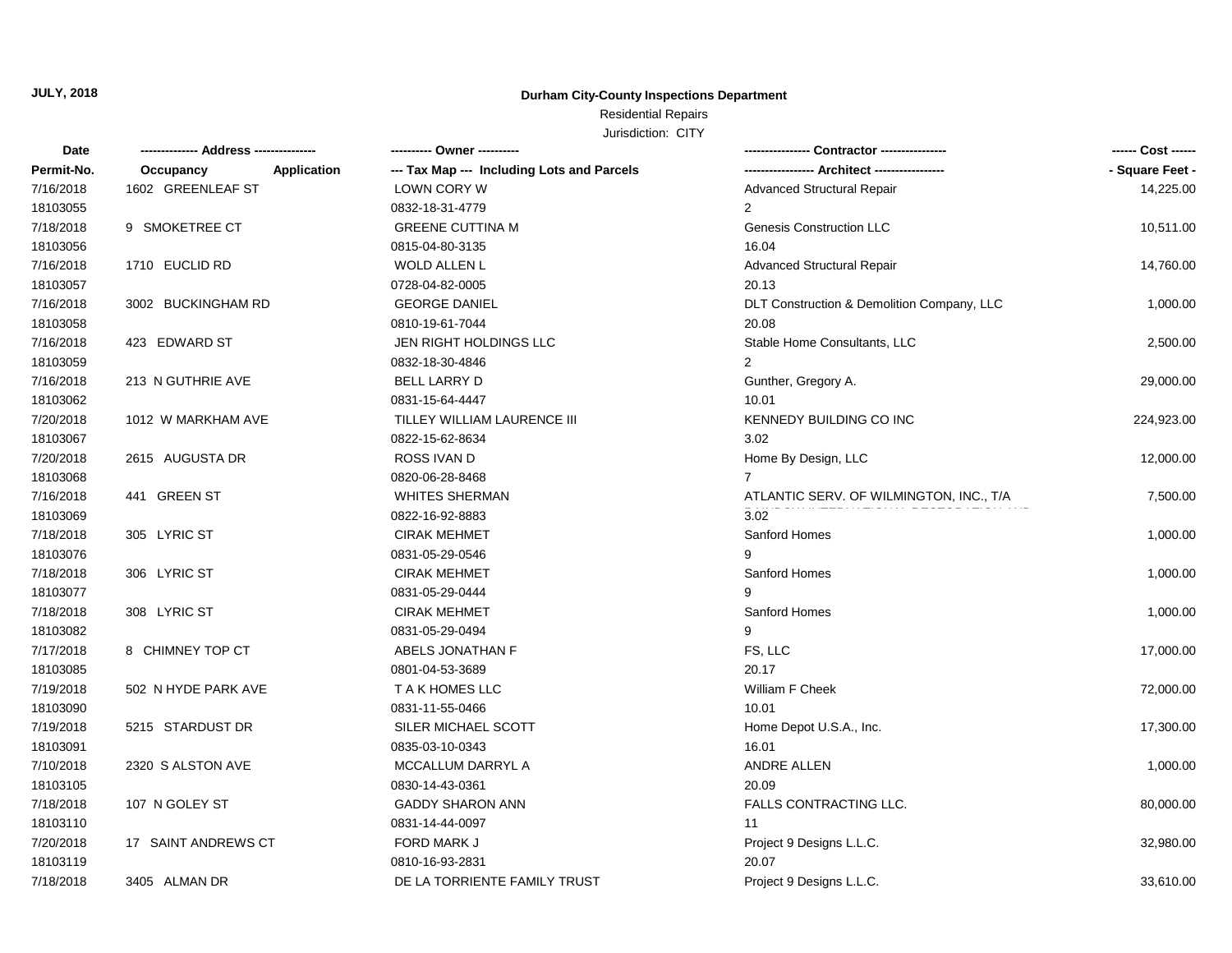# Residential Repairs

| Date       | -------------- Address --------------- | --------- Owner ---------                  |                                            | ------ Cost ------ |
|------------|----------------------------------------|--------------------------------------------|--------------------------------------------|--------------------|
| Permit-No. | Occupancy<br><b>Application</b>        | --- Tax Map --- Including Lots and Parcels |                                            | - Square Feet -    |
| 7/16/2018  | 1602 GREENLEAF ST                      | LOWN CORY W                                | Advanced Structural Repair                 | 14,225.00          |
| 18103055   |                                        | 0832-18-31-4779                            | $\overline{2}$                             |                    |
| 7/18/2018  | 9 SMOKETREE CT                         | <b>GREENE CUTTINA M</b>                    | <b>Genesis Construction LLC</b>            | 10,511.00          |
| 18103056   |                                        | 0815-04-80-3135                            | 16.04                                      |                    |
| 7/16/2018  | 1710 EUCLID RD                         | <b>WOLD ALLEN L</b>                        | <b>Advanced Structural Repair</b>          | 14,760.00          |
| 18103057   |                                        | 0728-04-82-0005                            | 20.13                                      |                    |
| 7/16/2018  | 3002 BUCKINGHAM RD                     | <b>GEORGE DANIEL</b>                       | DLT Construction & Demolition Company, LLC | 1,000.00           |
| 18103058   |                                        | 0810-19-61-7044                            | 20.08                                      |                    |
| 7/16/2018  | 423 EDWARD ST                          | JEN RIGHT HOLDINGS LLC                     | Stable Home Consultants, LLC               | 2,500.00           |
| 18103059   |                                        | 0832-18-30-4846                            | $\overline{2}$                             |                    |
| 7/16/2018  | 213 N GUTHRIE AVE                      | <b>BELL LARRY D</b>                        | Gunther, Gregory A.                        | 29,000.00          |
| 18103062   |                                        | 0831-15-64-4447                            | 10.01                                      |                    |
| 7/20/2018  | 1012 W MARKHAM AVE                     | TILLEY WILLIAM LAURENCE III                | KENNEDY BUILDING CO INC                    | 224,923.00         |
| 18103067   |                                        | 0822-15-62-8634                            | 3.02                                       |                    |
| 7/20/2018  | 2615 AUGUSTA DR                        | ROSS IVAN D                                | Home By Design, LLC                        | 12,000.00          |
| 18103068   |                                        | 0820-06-28-8468                            | $\overline{7}$                             |                    |
| 7/16/2018  | 441 GREEN ST                           | <b>WHITES SHERMAN</b>                      | ATLANTIC SERV. OF WILMINGTON, INC., T/A    | 7,500.00           |
| 18103069   |                                        | 0822-16-92-8883                            | 3.02                                       |                    |
| 7/18/2018  | 305 LYRIC ST                           | <b>CIRAK MEHMET</b>                        | Sanford Homes                              | 1,000.00           |
| 18103076   |                                        | 0831-05-29-0546                            | 9                                          |                    |
| 7/18/2018  | 306 LYRIC ST                           | <b>CIRAK MEHMET</b>                        | Sanford Homes                              | 1,000.00           |
| 18103077   |                                        | 0831-05-29-0444                            | 9                                          |                    |
| 7/18/2018  | 308 LYRIC ST                           | <b>CIRAK MEHMET</b>                        | Sanford Homes                              | 1,000.00           |
| 18103082   |                                        | 0831-05-29-0494                            | 9                                          |                    |
| 7/17/2018  | 8 CHIMNEY TOP CT                       | ABELS JONATHAN F                           | FS, LLC                                    | 17,000.00          |
| 18103085   |                                        | 0801-04-53-3689                            | 20.17                                      |                    |
| 7/19/2018  | 502 N HYDE PARK AVE                    | T A K HOMES LLC                            | William F Cheek                            | 72,000.00          |
| 18103090   |                                        | 0831-11-55-0466                            | 10.01                                      |                    |
| 7/19/2018  | 5215 STARDUST DR                       | SILER MICHAEL SCOTT                        | Home Depot U.S.A., Inc.                    | 17,300.00          |
| 18103091   |                                        | 0835-03-10-0343                            | 16.01                                      |                    |
| 7/10/2018  | 2320 S ALSTON AVE                      | MCCALLUM DARRYL A                          | ANDRE ALLEN                                | 1,000.00           |
| 18103105   |                                        | 0830-14-43-0361                            | 20.09                                      |                    |
| 7/18/2018  | 107 N GOLEY ST                         | <b>GADDY SHARON ANN</b>                    | FALLS CONTRACTING LLC.                     | 80,000.00          |
| 18103110   |                                        | 0831-14-44-0097                            | 11                                         |                    |
| 7/20/2018  | 17 SAINT ANDREWS CT                    | FORD MARK J                                | Project 9 Designs L.L.C.                   | 32,980.00          |
| 18103119   |                                        | 0810-16-93-2831                            | 20.07                                      |                    |
| 7/18/2018  | 3405 ALMAN DR                          | DE LA TORRIENTE FAMILY TRUST               | Project 9 Designs L.L.C.                   | 33,610.00          |
|            |                                        |                                            |                                            |                    |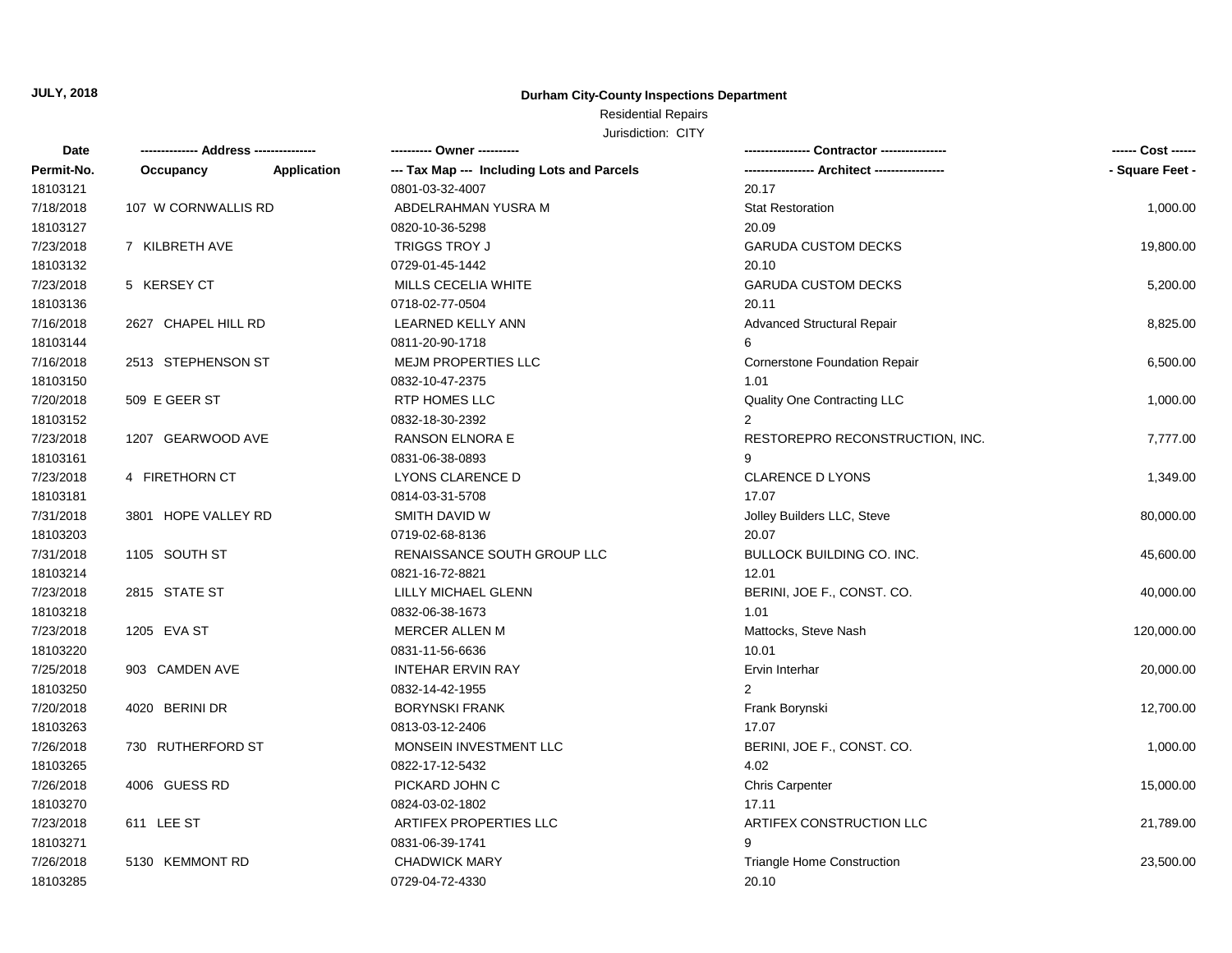# Residential Repairs

| Date       | -------------- Address --------------- |             | ---------- Owner ----------                |                                   | ------ Cost ------ |
|------------|----------------------------------------|-------------|--------------------------------------------|-----------------------------------|--------------------|
| Permit-No. | Occupancy                              | Application | --- Tax Map --- Including Lots and Parcels | --- Architect ----------------    | - Square Feet -    |
| 18103121   |                                        |             | 0801-03-32-4007                            | 20.17                             |                    |
| 7/18/2018  | 107 W CORNWALLIS RD                    |             | ABDELRAHMAN YUSRA M                        | <b>Stat Restoration</b>           | 1,000.00           |
| 18103127   |                                        |             | 0820-10-36-5298                            | 20.09                             |                    |
| 7/23/2018  | 7 KILBRETH AVE                         |             | <b>TRIGGS TROY J</b>                       | <b>GARUDA CUSTOM DECKS</b>        | 19,800.00          |
| 18103132   |                                        |             | 0729-01-45-1442                            | 20.10                             |                    |
| 7/23/2018  | 5 KERSEY CT                            |             | <b>MILLS CECELIA WHITE</b>                 | <b>GARUDA CUSTOM DECKS</b>        | 5,200.00           |
| 18103136   |                                        |             | 0718-02-77-0504                            | 20.11                             |                    |
| 7/16/2018  | 2627 CHAPEL HILL RD                    |             | LEARNED KELLY ANN                          | <b>Advanced Structural Repair</b> | 8,825.00           |
| 18103144   |                                        |             | 0811-20-90-1718                            | 6                                 |                    |
| 7/16/2018  | 2513 STEPHENSON ST                     |             | <b>MEJM PROPERTIES LLC</b>                 | Cornerstone Foundation Repair     | 6,500.00           |
| 18103150   |                                        |             | 0832-10-47-2375                            | 1.01                              |                    |
| 7/20/2018  | 509 E GEER ST                          |             | <b>RTP HOMES LLC</b>                       | Quality One Contracting LLC       | 1,000.00           |
| 18103152   |                                        |             | 0832-18-30-2392                            | $\overline{2}$                    |                    |
| 7/23/2018  | 1207 GEARWOOD AVE                      |             | <b>RANSON ELNORA E</b>                     | RESTOREPRO RECONSTRUCTION, INC.   | 7,777.00           |
| 18103161   |                                        |             | 0831-06-38-0893                            | 9                                 |                    |
| 7/23/2018  | 4 FIRETHORN CT                         |             | LYONS CLARENCE D                           | <b>CLARENCE D LYONS</b>           | 1,349.00           |
| 18103181   |                                        |             | 0814-03-31-5708                            | 17.07                             |                    |
| 7/31/2018  | 3801 HOPE VALLEY RD                    |             | SMITH DAVID W                              | Jolley Builders LLC, Steve        | 80,000.00          |
| 18103203   |                                        |             | 0719-02-68-8136                            | 20.07                             |                    |
| 7/31/2018  | 1105 SOUTH ST                          |             | RENAISSANCE SOUTH GROUP LLC                | <b>BULLOCK BUILDING CO. INC.</b>  | 45,600.00          |
| 18103214   |                                        |             | 0821-16-72-8821                            | 12.01                             |                    |
| 7/23/2018  | 2815 STATE ST                          |             | LILLY MICHAEL GLENN                        | BERINI, JOE F., CONST. CO.        | 40,000.00          |
| 18103218   |                                        |             | 0832-06-38-1673                            | 1.01                              |                    |
| 7/23/2018  | 1205 EVA ST                            |             | MERCER ALLEN M                             | Mattocks, Steve Nash              | 120,000.00         |
| 18103220   |                                        |             | 0831-11-56-6636                            | 10.01                             |                    |
| 7/25/2018  | 903 CAMDEN AVE                         |             | <b>INTEHAR ERVIN RAY</b>                   | Ervin Interhar                    | 20,000.00          |
| 18103250   |                                        |             | 0832-14-42-1955                            | $\overline{2}$                    |                    |
| 7/20/2018  | 4020 BERINI DR                         |             | <b>BORYNSKI FRANK</b>                      | Frank Borynski                    | 12,700.00          |
| 18103263   |                                        |             | 0813-03-12-2406                            | 17.07                             |                    |
| 7/26/2018  | 730 RUTHERFORD ST                      |             | MONSEIN INVESTMENT LLC                     | BERINI, JOE F., CONST. CO.        | 1,000.00           |
| 18103265   |                                        |             | 0822-17-12-5432                            | 4.02                              |                    |
| 7/26/2018  | 4006 GUESS RD                          |             | PICKARD JOHN C                             | <b>Chris Carpenter</b>            | 15,000.00          |
| 18103270   |                                        |             | 0824-03-02-1802                            | 17.11                             |                    |
| 7/23/2018  | 611 LEE ST                             |             | ARTIFEX PROPERTIES LLC                     | ARTIFEX CONSTRUCTION LLC          | 21,789.00          |
| 18103271   |                                        |             | 0831-06-39-1741                            | 9                                 |                    |
| 7/26/2018  | 5130 KEMMONT RD                        |             | <b>CHADWICK MARY</b>                       | <b>Triangle Home Construction</b> | 23,500.00          |
| 18103285   |                                        |             | 0729-04-72-4330                            | 20.10                             |                    |